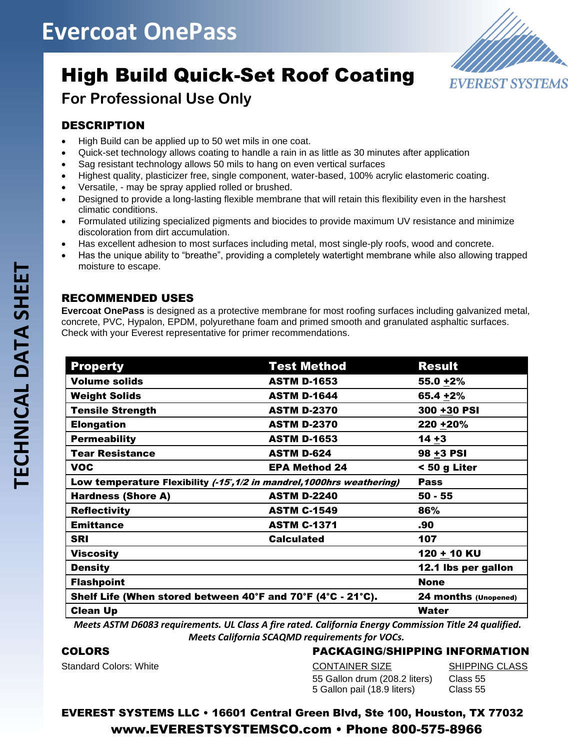## **Evercoat OnePass**



## High Build Quick-Set Roof Coating

## **For Professional Use Only**

### DESCRIPTION

- High Build can be applied up to 50 wet mils in one coat.
- Quick-set technology allows coating to handle a rain in as little as 30 minutes after application
- Sag resistant technology allows 50 mils to hang on even vertical surfaces
- Highest quality, plasticizer free, single component, water-based, 100% acrylic elastomeric coating.
- Versatile, may be spray applied rolled or brushed.
- Designed to provide a long-lasting flexible membrane that will retain this flexibility even in the harshest climatic conditions.
- Formulated utilizing specialized pigments and biocides to provide maximum UV resistance and minimize discoloration from dirt accumulation.
- Has excellent adhesion to most surfaces including metal, most single-ply roofs, wood and concrete.
- Has the unique ability to "breathe", providing a completely watertight membrane while also allowing trapped moisture to escape.

### RECOMMENDED USES

**Evercoat OnePass** is designed as a protective membrane for most roofing surfaces including galvanized metal, concrete, PVC, Hypalon, EPDM, polyurethane foam and primed smooth and granulated asphaltic surfaces. Check with your Everest representative for primer recommendations.

| <b>Property</b>                                                                                       | <b>Test Method</b>   | <b>Result</b>        |
|-------------------------------------------------------------------------------------------------------|----------------------|----------------------|
| <b>Volume solids</b>                                                                                  | <b>ASTM D-1653</b>   | $55.0 + 2%$          |
| <b>Weight Solids</b>                                                                                  | <b>ASTM D-1644</b>   | 65.4 +2%             |
| <b>Tensile Strength</b>                                                                               | <b>ASTM D-2370</b>   | 300 +30 PSI          |
| <b>Elongation</b>                                                                                     | <b>ASTM D-2370</b>   | 220 + 20%            |
| <b>Permeability</b>                                                                                   | <b>ASTM D-1653</b>   | $14 + 3$             |
| <b>Tear Resistance</b>                                                                                | <b>ASTM D-624</b>    | 98 +3 PSI            |
| <b>VOC</b>                                                                                            | <b>EPA Method 24</b> | < 50 g Liter         |
| Low temperature Flexibility (-15, 1/2 in mandrel, 1000hrs weathering)                                 |                      | <b>Pass</b>          |
| <b>Hardness (Shore A)</b>                                                                             | <b>ASTM D-2240</b>   | $50 - 55$            |
| <b>Reflectivity</b>                                                                                   | <b>ASTM C-1549</b>   | 86%                  |
| <b>Emittance</b>                                                                                      | <b>ASTM C-1371</b>   | .90                  |
| <b>SRI</b>                                                                                            | <b>Calculated</b>    | 107                  |
| <b>Viscosity</b>                                                                                      |                      | 120 + 10 KU          |
| <b>Density</b>                                                                                        |                      | 12.1 lbs per gallon  |
| <b>Flashpoint</b>                                                                                     |                      | <b>None</b>          |
| Shelf Life (When stored between 40°F and 70°F (4°C - 21°C).                                           |                      | 24 months (Unopened) |
| <b>Clean Up</b>                                                                                       |                      | Water                |
| Meets ASTM D6083 requirements III Class A fire rated. California Energy Commission Title 24 qualified |                      |                      |

*Meets ASTM D6083 requirements. UL Class A fire rated. California Energy Commission Title 24 qualified. Meets California SCAQMD requirements for VOCs.* 

#### COLORS

Standard Colors: White

#### PACKAGING/SHIPPING INFORMATION

| CONTAINER SIZE                | <b>SHIPPING CLASS</b> |
|-------------------------------|-----------------------|
| 55 Gallon drum (208.2 liters) | Class 55              |
| 5 Gallon pail (18.9 liters)   | Class 55              |

EVEREST SYSTEMS LLC • 16601 Central Green Blvd, Ste 100, Houston, TX 77032 www.EVERESTSYSTEMSCO.com • Phone 800-575-8966